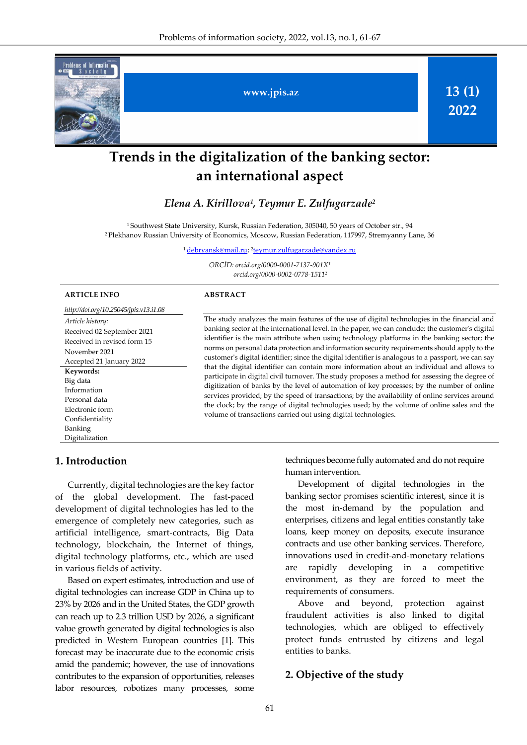

# **Trends in the digitalization of the banking sector: an international aspect**

## *Elena А. Kirillova<sup>1</sup> , Teymur E. Zulfugarzade 2*

<sup>1</sup>Southwest State University, Kursk, Russian Federation, 305040, 50 years of October str., 94 <sup>2</sup>Plekhanov Russian University of Economics, Moscow, Russian Federation, 117997, Stremyanny Lane, 36

<sup>1</sup>[debryansk@mail.ru;](mailto:debryansk@mail.ru) <sup>2</sup> [teymur.zulfugarzade@yandex.ru](mailto:teymur.zulfugarzade@yandex.ru)

*ORCİD: orcid.org/0000-0001-7137-901X<sup>1</sup> orcid.org/0000-0002-0778-1511 2*

| <b>ARTICLE INFO</b>                                                                                                        | <b>ABSTRACT</b>                                                                                                                                                                                                                                                                                                                                                                                                                                                                                                                                                                                                                                                                                                                                                                                                                                                                                                                                                                                                                                                       |  |  |
|----------------------------------------------------------------------------------------------------------------------------|-----------------------------------------------------------------------------------------------------------------------------------------------------------------------------------------------------------------------------------------------------------------------------------------------------------------------------------------------------------------------------------------------------------------------------------------------------------------------------------------------------------------------------------------------------------------------------------------------------------------------------------------------------------------------------------------------------------------------------------------------------------------------------------------------------------------------------------------------------------------------------------------------------------------------------------------------------------------------------------------------------------------------------------------------------------------------|--|--|
| http://doi.org/10.25045/jpis.v13.i1.08                                                                                     |                                                                                                                                                                                                                                                                                                                                                                                                                                                                                                                                                                                                                                                                                                                                                                                                                                                                                                                                                                                                                                                                       |  |  |
| Article history:<br>Received 02 September 2021<br>Received in revised form 15<br>November 2021<br>Accepted 21 January 2022 | The study analyzes the main features of the use of digital technologies in the financial and<br>banking sector at the international level. In the paper, we can conclude: the customer's digital<br>identifier is the main attribute when using technology platforms in the banking sector; the<br>norms on personal data protection and information security requirements should apply to the<br>customer's digital identifier; since the digital identifier is analogous to a passport, we can say<br>that the digital identifier can contain more information about an individual and allows to<br>participate in digital civil turnover. The study proposes a method for assessing the degree of<br>digitization of banks by the level of automation of key processes; by the number of online<br>services provided; by the speed of transactions; by the availability of online services around<br>the clock; by the range of digital technologies used; by the volume of online sales and the<br>volume of transactions carried out using digital technologies. |  |  |
| Keywords:<br>Big data<br>Information<br>Personal data<br>Electronic form<br>Confidentiality<br>Banking                     |                                                                                                                                                                                                                                                                                                                                                                                                                                                                                                                                                                                                                                                                                                                                                                                                                                                                                                                                                                                                                                                                       |  |  |
| Digitalization                                                                                                             |                                                                                                                                                                                                                                                                                                                                                                                                                                                                                                                                                                                                                                                                                                                                                                                                                                                                                                                                                                                                                                                                       |  |  |

#### **1. Introduction**

Currently, digital technologies are the key factor of the global development. The fast-paced development of digital technologies has led to the emergence of completely new categories, such as artificial intelligence, smart-contracts, Big Data technology, blockchain, the Internet of things, digital technology platforms, etc., which are used in various fields of activity.

Based on expert estimates, introduction and use of digital technologies can increase GDP in China up to 23% by 2026 and in the United States, the GDP growth can reach up to 2.3 trillion USD by 2026, a significant value growth generated by digital technologies is also predicted in Western European countries [1]. This forecast may be inaccurate due to the economic crisis amid the pandemic; however, the use of innovations contributes to the expansion of opportunities, releases labor resources, robotizes many processes, some

techniques become fully automated and do not require human intervention.

Development of digital technologies in the banking sector promises scientific interest, since it is the most in-demand by the population and enterprises, citizens and legal entities constantly take loans, keep money on deposits, execute insurance contracts and use other banking services. Therefore, innovations used in credit-and-monetary relations are rapidly developing in a competitive environment, as they are forced to meet the requirements of consumers.

Above and beyond, protection against fraudulent activities is also linked to digital technologies, which are obliged to effectively protect funds entrusted by citizens and legal entities to banks.

#### **2. Objective of the study**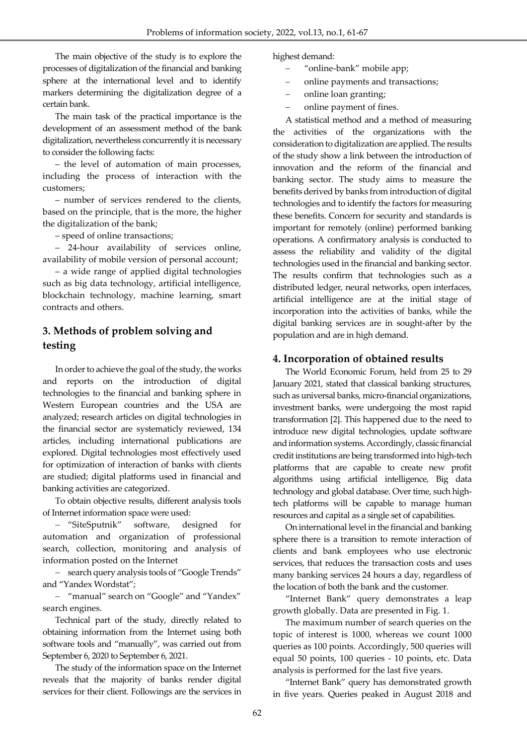The main objective of the study is to explore the processes of digitalization of the financial and banking sphere at the international level and to identify markers determining the digitalization degree of a certain bank.

The main task of the practical importance is the development of an assessment method of the bank digitalization, nevertheless concurrently it is necessary to consider the following facts:

– the level of automation of main processes, including the process of interaction with the customers;

– number of services rendered to the clients, based on the principle, that is the more, the higher the digitalization of the bank;

– speed of online transactions;

– 24-hour availability of services online, availability of mobile version of personal account;

– a wide range of applied digital technologies such as big data technology, artificial intelligence, blockchain technology, machine learning, smart contracts and others.

# **3. Methods of problem solving and testing**

In order to achieve the goal of the study, the works and reports on the introduction of digital technologies to the financial and banking sphere in Western European countries and the USA are analyzed; research articles on digital technologies in the financial sector are systematicly reviewed, 134 articles, including international publications are explored. Digital technologies most effectively used for optimization of interaction of banks with clients are studied; digital platforms used in financial and banking activities are categorized.

To obtain objective results, different analysis tools of Internet information space were used:

- "SiteSputnik" software, designed for automation and organization of professional search, collection, monitoring and analysis of information posted on the Internet

- search query analysis tools of "Google Trends" and "Yandex Wordstat";

- "manual" search on "Google" and "Yandex" search engines.

Technical part of the study, directly related to obtaining information from the Internet using both software tools and "manually", was carried out from September 6, 2020 to September 6, 2021.

The study of the information space on the Internet reveals that the majority of banks render digital services for their client. Followings are the services in

highest demand:

- "online-bank" mobile app;
- online payments and transactions;
- online loan granting;
- online payment of fines.

A statistical method and a method of measuring the activities of the organizations with the consideration to digitalization are applied. The results of the study show a link between the introduction of innovation and the reform of the financial and banking sector. The study aims to measure the benefits derived by banks from introduction of digital technologies and to identify the factors for measuring these benefits. Concern for security and standards is important for remotely (online) performed banking operations. A confirmatory analysis is conducted to assess the reliability and validity of the digital technologies used in the financial and banking sector. The results confirm that technologies such as a distributed ledger, neural networks, open interfaces, artificial intelligence are at the initial stage of incorporation into the activities of banks, while the digital banking services are in sought-after by the population and are in high demand.

## **4. Incorporation of obtained results**

The World Economic Forum, held from 25 to 29 January 2021, stated that classical banking structures, such as universal banks, micro-financial organizations, investment banks, were undergoing the most rapid transformation [2]. This happened due to the need to introduce new digital technologies, update software and information systems. Accordingly, classic financial credit institutions are being transformed into high-tech platforms that are capable to create new profit algorithms using artificial intelligence, Big data technology and global database. Over time, such hightech platforms will be capable to manage human resources and capital as a single set of capabilities.

On international level in the financial and banking sphere there is a transition to remote interaction of clients and bank employees who use electronic services, that reduces the transaction costs and uses many banking services 24 hours a day, regardless of the location of both the bank and the customer.

"Internet Bank" query demonstrates a leap growth globally. Data are presented in Fig. 1.

The maximum number of search queries on the topic of interest is 1000, whereas we count 1000 queries as 100 points. Accordingly, 500 queries will equal 50 points, 100 queries - 10 points, etc. Data analysis is performed for the last five years.

"Internet Bank" query has demonstrated growth in five years. Queries peaked in August 2018 and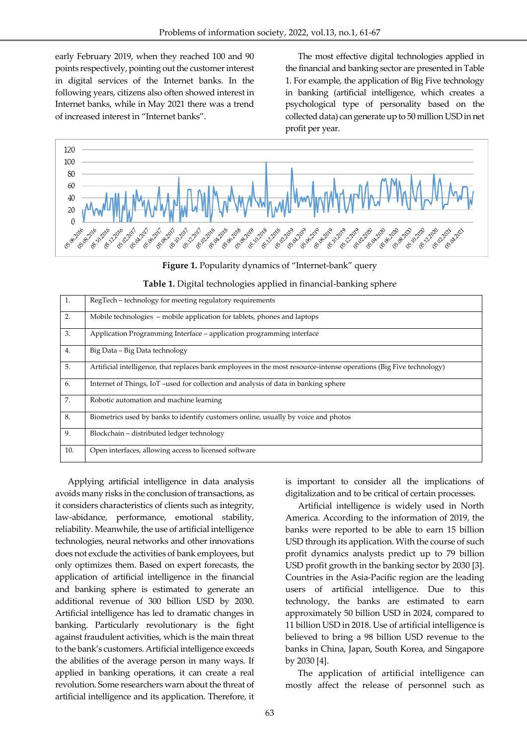early February 2019, when they reached 100 and 90 points respectively, pointing out the customer interest in digital services of the Internet banks. In the following years, citizens also often showed interest in Internet banks, while in May 2021 there was a trend of increased interest in "Internet banks".

The most effective digital technologies applied in the financial and banking sector are presented in Table 1. For example, the application of Big Five technology in banking (artificial intelligence, which creates a psychological type of personality based on the collected data) can generate up to 50 million USD in net profit per year.



**Figure 1.** Popularity dynamics of "Internet-bank" query

|  |  |  | Table 1. Digital technologies applied in financial-banking sphere |  |  |  |  |  |
|--|--|--|-------------------------------------------------------------------|--|--|--|--|--|
|--|--|--|-------------------------------------------------------------------|--|--|--|--|--|

| 1.  | RegTech – technology for meeting regulatory requirements                                                            |
|-----|---------------------------------------------------------------------------------------------------------------------|
| 2.  | Mobile technologies – mobile application for tablets, phones and laptops                                            |
| 3.  | Application Programming Interface – application programming interface                                               |
| 4.  | Big Data – Big Data technology                                                                                      |
| 5.  | Artificial intelligence, that replaces bank employees in the most resource-intense operations (Big Five technology) |
| 6.  | Internet of Things, IoT –used for collection and analysis of data in banking sphere                                 |
| 7.  | Robotic automation and machine learning                                                                             |
| 8.  | Biometrics used by banks to identify customers online, usually by voice and photos                                  |
| 9.  | Blockchain – distributed ledger technology                                                                          |
| 10. | Open interfaces, allowing access to licensed software                                                               |

Applying artificial intelligence in data analysis avoids many risks in the conclusion of transactions, as it considers characteristics of clients such as integrity, law-abidance, performance, emotional stability, reliability. Meanwhile, the use of artificial intelligence technologies, neural networks and other innovations does not exclude the activities of bank employees, but only optimizes them. Based on expert forecasts, the application of artificial intelligence in the financial and banking sphere is estimated to generate an additional revenue of 300 billion USD by 2030. Artificial intelligence has led to dramatic changes in banking. Particularly revolutionary is the fight against fraudulent activities, which is the main threat to the bank's customers. Artificial intelligence exceeds the abilities of the average person in many ways. If applied in banking operations, it can create a real revolution. Some researchers warn about the threat of artificial intelligence and its application. Therefore, it

is important to consider all the implications of digitalization and to be critical of certain processes.

Artificial intelligence is widely used in North America. According to the information of 2019, the banks were reported to be able to earn 15 billion USD through its application. With the course of such profit dynamics analysts predict up to 79 billion USD profit growth in the banking sector by 2030 [3]. Countries in the Asia-Pacific region are the leading users of artificial intelligence. Due to this technology, the banks are estimated to earn approximately 50 billion USD in 2024, compared to 11 billion USD in 2018. Use of artificial intelligence is believed to bring a 98 billion USD revenue to the banks in China, Japan, South Korea, and Singapore by 2030 [4].

The application of artificial intelligence can mostly affect the release of personnel such as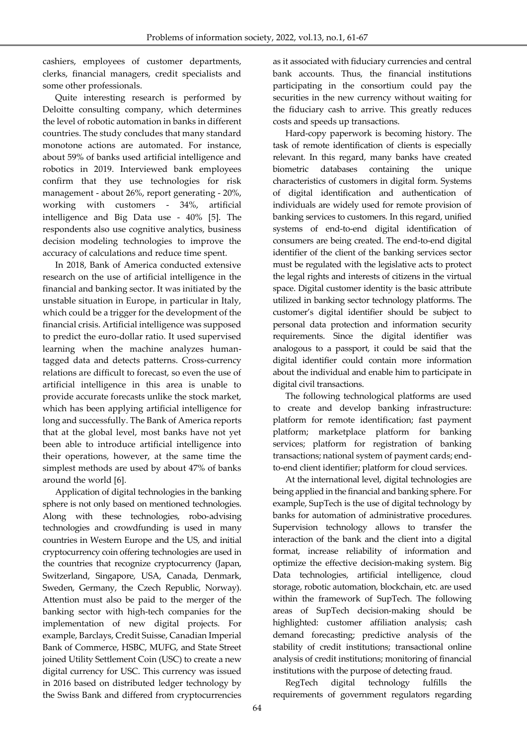cashiers, employees of customer departments, clerks, financial managers, credit specialists and some other professionals.

Quite interesting research is performed by Deloitte consulting company, which determines the level of robotic automation in banks in different countries. The study concludes that many standard monotone actions are automated. For instance, about 59% of banks used artificial intelligence and robotics in 2019. Interviewed bank employees confirm that they use technologies for risk management - about 26%, report generating - 20%, working with customers - 34%, artificial intelligence and Big Data use - 40% [5]. The respondents also use cognitive analytics, business decision modeling technologies to improve the accuracy of calculations and reduce time spent.

In 2018, Bank of America conducted extensive research on the use of artificial intelligence in the financial and banking sector. It was initiated by the unstable situation in Europe, in particular in Italy, which could be a trigger for the development of the financial crisis. Artificial intelligence was supposed to predict the euro-dollar ratio. It used supervised learning when the machine analyzes humantagged data and detects patterns. Cross-currency relations are difficult to forecast, so even the use of artificial intelligence in this area is unable to provide accurate forecasts unlike the stock market, which has been applying artificial intelligence for long and successfully. The Bank of America reports that at the global level, most banks have not yet been able to introduce artificial intelligence into their operations, however, at the same time the simplest methods are used by about 47% of banks around the world [6].

Application of digital technologies in the banking sphere is not only based on mentioned technologies. Along with these technologies, robo-advising technologies and crowdfunding is used in many countries in Western Europe and the US, and initial cryptocurrency coin offering technologies are used in the countries that recognize cryptocurrency (Japan, Switzerland, Singapore, USA, Canada, Denmark, Sweden, Germany, the Czech Republic, Norway). Attention must also be paid to the merger of the banking sector with high-tech companies for the implementation of new digital projects. For example, Barclays, Credit Suisse, Canadian Imperial Bank of Commerce, HSBC, MUFG, and State Street joined Utility Settlement Coin (USC) to create a new digital currency for USC. This currency was issued in 2016 based on distributed ledger technology by the Swiss Bank and differed from cryptocurrencies

as it associated with fiduciary currencies and central bank accounts. Thus, the financial institutions participating in the consortium could pay the securities in the new currency without waiting for the fiduciary cash to arrive. This greatly reduces costs and speeds up transactions.

Hard-copy paperwork is becoming history. The task of remote identification of clients is especially relevant. In this regard, many banks have created biometric databases containing the unique characteristics of customers in digital form. Systems of digital identification and authentication of individuals are widely used for remote provision of banking services to customers. In this regard, unified systems of end-to-end digital identification of consumers are being created. The end-to-end digital identifier of the client of the banking services sector must be regulated with the legislative acts to protect the legal rights and interests of citizens in the virtual space. Digital customer identity is the basic attribute utilized in banking sector technology platforms. The customer's digital identifier should be subject to personal data protection and information security requirements. Since the digital identifier was analogous to a passport, it could be said that the digital identifier could contain more information about the individual and enable him to participate in digital civil transactions.

The following technological platforms are used to create and develop banking infrastructure: platform for remote identification; fast payment platform; marketplace platform for banking services; platform for registration of banking transactions; national system of payment cards; endto-end client identifier; platform for cloud services.

At the international level, digital technologies are being applied in the financial and banking sphere. For example, SupTech is the use of digital technology by banks for automation of administrative procedures. Supervision technology allows to transfer the interaction of the bank and the client into a digital format, increase reliability of information and optimize the effective decision-making system. Big Data technologies, artificial intelligence, cloud storage, robotic automation, blockchain, etc. are used within the framework of SupTech. The following areas of SupTech decision-making should be highlighted: customer affiliation analysis; cash demand forecasting; predictive analysis of the stability of credit institutions; transactional online analysis of credit institutions; monitoring of financial institutions with the purpose of detecting fraud.

RegTech digital technology fulfills the requirements of government regulators regarding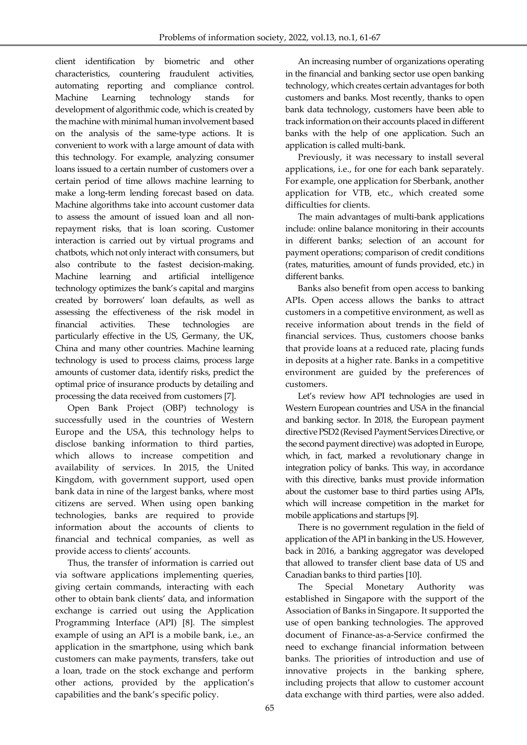client identification by biometric and other characteristics, countering fraudulent activities, automating reporting and compliance control. Machine Learning technology stands for development of algorithmic code, which is created by the machine with minimal human involvement based on the analysis of the same-type actions. It is convenient to work with a large amount of data with this technology. For example, analyzing consumer loans issued to a certain number of customers over a certain period of time allows machine learning to make a long-term lending forecast based on data. Machine algorithms take into account customer data to assess the amount of issued loan and all nonrepayment risks, that is loan scoring. Customer interaction is carried out by virtual programs and chatbots, which not only interact with consumers, but also contribute to the fastest decision-making. Machine learning and artificial intelligence technology optimizes the bank's capital and margins created by borrowers' loan defaults, as well as assessing the effectiveness of the risk model in financial activities. These technologies are particularly effective in the US, Germany, the UK, China and many other countries. Machine learning technology is used to process claims, process large amounts of customer data, identify risks, predict the optimal price of insurance products by detailing and processing the data received from customers [7].

Open Bank Project (OBP) technology is successfully used in the countries of Western Europe and the USA, this technology helps to disclose banking information to third parties, which allows to increase competition and availability of services. In 2015, the United Kingdom, with government support, used open bank data in nine of the largest banks, where most citizens are served. When using open banking technologies, banks are required to provide information about the accounts of clients to financial and technical companies, as well as provide access to clients' accounts.

Thus, the transfer of information is carried out via software applications implementing queries, giving certain commands, interacting with each other to obtain bank clients' data, and information exchange is carried out using the Application Programming Interface (API) [8]. The simplest example of using an API is a mobile bank, i.e., an application in the smartphone, using which bank customers can make payments, transfers, take out a loan, trade on the stock exchange and perform other actions, provided by the application's capabilities and the bank's specific policy.

An increasing number of organizations operating in the financial and banking sector use open banking technology, which creates certain advantages for both customers and banks. Most recently, thanks to open bank data technology, customers have been able to track informationon their accounts placed in different banks with the help of one application. Such an application is called multi-bank.

Previously, it was necessary to install several applications, i.e., for one for each bank separately. For example, one application for Sberbank, another application for VTB, etc., which created some difficulties for clients.

The main advantages of multi-bank applications include: online balance monitoring in their accounts in different banks; selection of an account for payment operations; comparison of credit conditions (rates, maturities, amount of funds provided, etc.) in different banks.

Banks also benefit from open access to banking APIs. Open access allows the banks to attract customers in a competitive environment, as well as receive information about trends in the field of financial services. Thus, customers choose banks that provide loans at a reduced rate, placing funds in deposits at a higher rate. Banks in a competitive environment are guided by the preferences of customers.

Let's review how API technologies are used in Western European countries and USA in the financial and banking sector. In 2018, the European payment directive PSD2 (Revised Payment Services Directive, or the second payment directive) was adopted in Europe, which, in fact, marked a revolutionary change in integration policy of banks. This way, in accordance with this directive, banks must provide information about the customer base to third parties using APIs, which will increase competition in the market for mobile applications and startups [9].

There is no government regulation in the field of application of the API in banking in the US. However, back in 2016, a banking aggregator was developed that allowed to transfer client base data of US and Canadian banks to third parties [10].

The Special Monetary Authority was established in Singapore with the support of the Association of Banks in Singapore. It supported the use of open banking technologies. The approved document of Finance-as-a-Service confirmed the need to exchange financial information between banks. The priorities of introduction and use of innovative projects in the banking sphere, including projects that allow to customer account data exchange with third parties, were also added.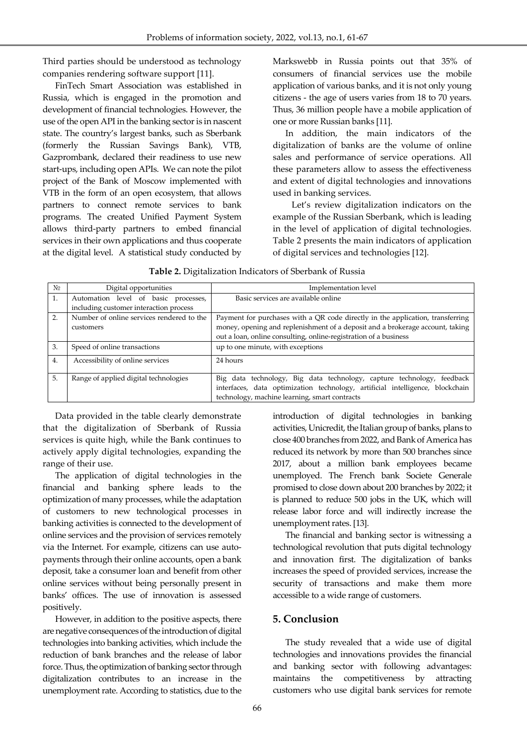Third parties should be understood as technology companies rendering software support [11].

FinTech Smart Association was established in Russia, which is engaged in the promotion and development of financial technologies. However, the use of the open API in the banking sector is in nascent state. The country's largest banks, such as Sberbank (formerly the Russian Savings Bank), VTB, Gazprombank, declared their readiness to use new start-ups, including open APIs. We can note the pilot project of the Bank of Moscow implemented with VTB in the form of an open ecosystem, that allows partners to connect remote services to bank programs. The created Unified Payment System allows third-party partners to embed financial services in their own applications and thus cooperate at the digital level. A statistical study conducted by

Markswebb in Russia points out that 35% of consumers of financial services use the mobile application of various banks, and it is not only young citizens - the age of users varies from 18 to 70 years. Thus, 36 million people have a mobile application of one or more Russian banks [11].

In addition, the main indicators of the digitalization of banks are the volume of online sales and performance of service operations. All these parameters allow to assess the effectiveness and extent of digital technologies and innovations used in banking services.

Let's review digitalization indicators on the example of the Russian Sberbank, which is leading in the level of application of digital technologies. Table 2 presents the main indicators of application of digital services and technologies [12].

| $\mathbf{N}^0$ | Digital opportunities                     | Implementation level                                                           |  |  |
|----------------|-------------------------------------------|--------------------------------------------------------------------------------|--|--|
| 1.             | Automation level of basic processes,      | Basic services are available online                                            |  |  |
|                | including customer interaction process    |                                                                                |  |  |
| 2.             | Number of online services rendered to the | Payment for purchases with a QR code directly in the application, transferring |  |  |
|                | customers                                 | money, opening and replenishment of a deposit and a brokerage account, taking  |  |  |
|                |                                           | out a loan, online consulting, online-registration of a business               |  |  |
| 3.             | Speed of online transactions              | up to one minute, with exceptions                                              |  |  |
| 4.             | Accessibility of online services          | 24 hours                                                                       |  |  |
| 5.             | Range of applied digital technologies     | data technology, Big data technology, capture technology, feedback<br>Big      |  |  |
|                |                                           | interfaces, data optimization technology, artificial intelligence, blockchain  |  |  |
|                |                                           | technology, machine learning, smart contracts                                  |  |  |

| Table 2. Digitalization Indicators of Sberbank of Russia |  |  |  |
|----------------------------------------------------------|--|--|--|
|----------------------------------------------------------|--|--|--|

Data provided in the table clearly demonstrate that the digitalization of Sberbank of Russia services is quite high, while the Bank continues to actively apply digital technologies, expanding the range of their use.

The application of digital technologies in the financial and banking sphere leads to the optimization of many processes, while the adaptation of customers to new technological processes in banking activities is connected to the development of online services and the provision of services remotely via the Internet. For example, citizens can use autopayments through their online accounts, open a bank deposit, take a consumer loan and benefit from other online services without being personally present in banks' offices. The use of innovation is assessed positively.

However, in addition to the positive aspects, there are negative consequences of the introduction of digital technologies into banking activities, which include the reduction of bank branches and the release of labor force.Thus, the optimization of banking sector through digitalization contributes to an increase in the unemployment rate. According to statistics, due to the introduction of digital technologies in banking activities, Unicredit, the Italian group of banks, plans to close 400 branches from 2022, and Bank of America has reduced its network by more than 500 branches since 2017, about a million bank employees became unemployed. The French bank Societe Generale promised to close down about 200 branches by 2022; it is planned to reduce 500 jobs in the UK, which will release labor force and will indirectly increase the unemployment rates. [13].

The financial and banking sector is witnessing a technological revolution that puts digital technology and innovation first. The digitalization of banks increases the speed of provided services, increase the security of transactions and make them more accessible to a wide range of customers.

## **5. Conclusion**

The study revealed that a wide use of digital technologies and innovations provides the financial and banking sector with following advantages: maintains the competitiveness by attracting customers who use digital bank services for remote